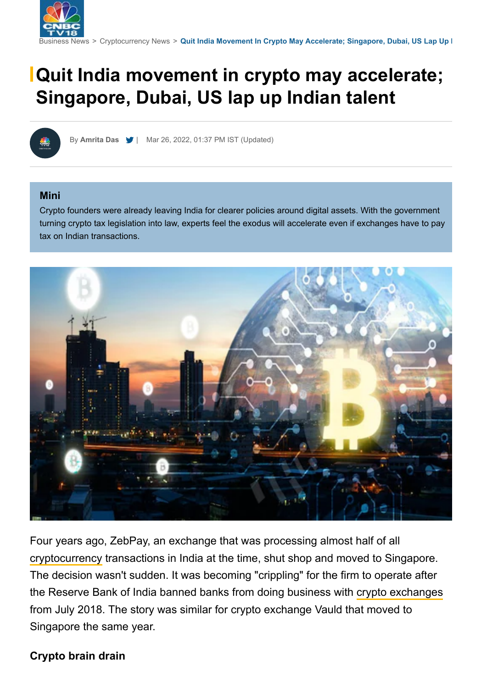

# **Quit India movement in crypto may accelerate; Singapore, Dubai, US lap up Indian talent**

By **[Amrita Das](https://www.cnbctv18.com/author/amrita-das-12902)** [|](https://twitter.com/amritadas) Mar 26, 2022, 01:37 PM IST (Updated)

#### **Mini**

Crypto founders were already leaving India for clearer policies around digital assets. With the government turning crypto tax legislation into law, experts feel the exodus will accelerate even if exchanges have to pay tax on Indian transactions.



Four years ago, ZebPay, an exchange that was processing almost half of all [cryptocurrency](https://www.cnbctv18.com/cryptocurrency/) transactions in India at the time, shut shop and moved to Singapore. The decision wasn't sudden. It was becoming "crippling" for the firm to operate after the Reserve Bank of India banned banks from doing business with [crypto exchanges](https://www.cnbctv18.com/tags/cryptocurrency.htm)from July 2018. The story was similar for crypto exchange Vauld that moved to Singapore the same year.

## **Crypto brain drain**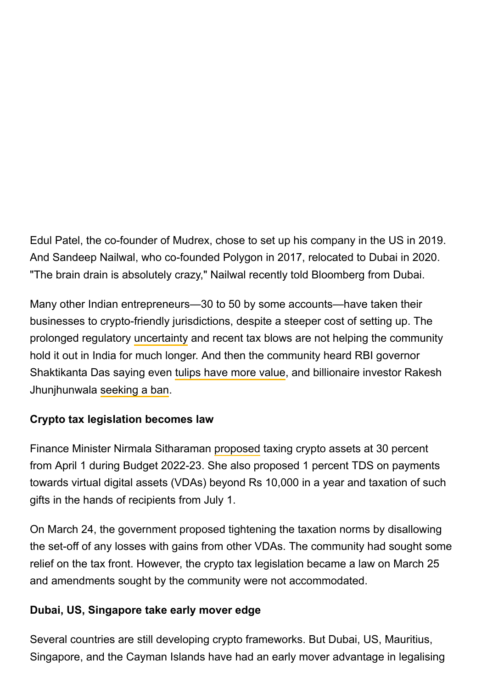Edul Patel, the co-founder of Mudrex, chose to set up his company in the US in 2019. And Sandeep Nailwal, who co-founded Polygon in 2017, relocated to Dubai in 2020. "The brain drain is absolutely crazy," Nailwal recently told Bloomberg from Dubai.

Many other Indian entrepreneurs—30 to 50 by some accounts—have taken their businesses to crypto-friendly jurisdictions, despite a steeper cost of setting up. The prolonged regulatory uncertainty and recent tax blows are not helping the community hold it out in India for much longer. And then the community heard RBI governor Shaktikanta Das saying even [tulips have more value](https://www.cnbctv18.com/market/rbi-chief-refers-to-tulip-mania-as-he-warns-against-crypto-here-are-the-biggest-market-bubbles-in-history-12456282.htm), and billionaire investor Rakesh Jhunjhunwala [seeking a ban](https://www.cnbctv18.com/market/currency/rakesh-jhunjhunwala-says-he-will-never-buy-bitcoin-calls-on-regulators-to-ban-cryptocurrency-in-india-8401221.htm).

# **Crypto tax legislation becomes law**

Finance Minister Nirmala Sitharaman [proposed](https://www.cnbctv18.com/economy/fm-interview-exclusive-crypto-asset-not-currency-unless-issued-by-rbi-regulatory-bill-possible-in-budget-session-12336802.htm) taxing crypto assets at 30 percent from April 1 during Budget 2022-23. She also proposed 1 percent TDS on payments towards virtual digital assets (VDAs) beyond Rs 10,000 in a year and taxation of such gifts in the hands of recipients from July 1.

On March 24, the government proposed tightening the taxation norms by disallowing the set-off of any losses with gains from other VDAs. The community had sought some relief on the tax front. However, the crypto tax legislation became a law on March 25 and amendments sought by the community were not accommodated.

## **Dubai, US, Singapore take early mover edge**

Several countries are still developing crypto frameworks. But Dubai, US, Mauritius, Singapore, and the Cayman Islands have had an early mover advantage in legalising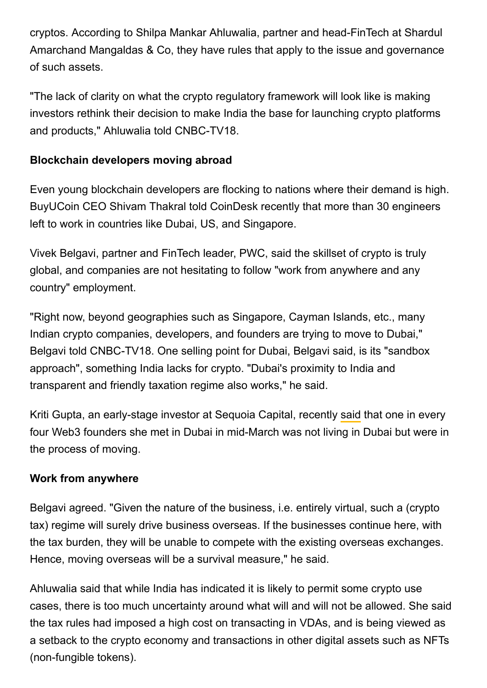cryptos. According to Shilpa Mankar Ahluwalia, partner and head-FinTech at Shardul Amarchand Mangaldas & Co, they have rules that apply to the issue and governance of such assets.

"The lack of clarity on what the crypto regulatory framework will look like is making investors rethink their decision to make India the base for launching crypto platforms and products," Ahluwalia told CNBC-TV18.

## **Blockchain developers moving abroad**

Even young blockchain developers are flocking to nations where their demand is high. BuyUCoin CEO Shivam Thakral told CoinDesk recently that more than 30 engineers left to work in countries like Dubai, US, and Singapore.

Vivek Belgavi, partner and FinTech leader, PWC, said the skillset of crypto is truly global, and companies are not hesitating to follow "work from anywhere and any country" employment.

"Right now, beyond geographies such as Singapore, Cayman Islands, etc., many Indian crypto companies, developers, and founders are trying to move to Dubai," Belgavi told CNBC-TV18. One selling point for Dubai, Belgavi said, is its "sandbox approach", something India lacks for crypto. "Dubai's proximity to India and transparent and friendly taxation regime also works," he said.

KritiGupta, an early-stage investor at Sequoia Capital, recently said that one in every four Web3 founders she met in Dubai in mid-March was not living in Dubai but were in the process of moving.

## **Work from anywhere**

Belgavi agreed. "Given the nature of the business, i.e. entirely virtual, such a (crypto tax) regime will surely drive business overseas. If the businesses continue here, with the tax burden, they will be unable to compete with the existing overseas exchanges. Hence, moving overseas will be a survival measure," he said.

Ahluwalia said that while India has indicated it is likely to permit some crypto use cases, there is too much uncertainty around what will and will not be allowed. She said the tax rules had imposed a high cost on transacting in VDAs, and is being viewed as a setback to the crypto economy and transactions in other digital assets such as NFTs (non-fungible tokens).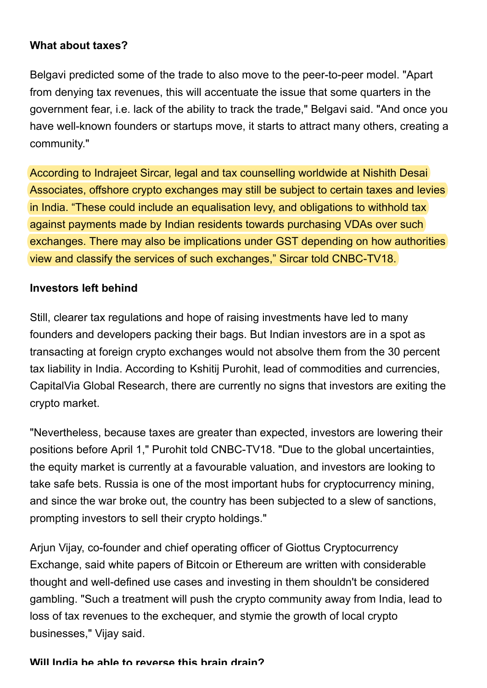### **What about taxes?**

Belgavi predicted some of the trade to also move to the peer-to-peer model. "Apart from denying tax revenues, this will accentuate the issue that some quarters in the government fear, i.e. lack of the ability to track the trade," Belgavi said. "And once you have well-known founders or startups move, it starts to attract many others, creating a community."

According to Indrajeet Sircar, legal and tax counselling worldwide at Nishith Desai Associates, offshore crypto exchanges may still be subject to certain taxes and levies in India. "These could include an equalisation levy, and obligations to withhold tax against payments made by Indian residents towards purchasing VDAs over such exchanges. There may also be implications under GST depending on how authorities view and classify the services of such exchanges," Sircar told CNBC-TV18.

#### **Investors left behind**

Still, clearer tax regulations and hope of raising investments have led to many founders and developers packing their bags. But Indian investors are in a spot as transacting at foreign crypto exchanges would not absolve them from the 30 percent tax liability in India. According to Kshitij Purohit, lead of commodities and currencies, CapitalVia Global Research, there are currently no signs that investors are exiting the crypto market.

"Nevertheless, because taxes are greater than expected, investors are lowering their positions before April 1," Purohit told CNBC-TV18. "Due to the global uncertainties, the equity market is currently at a favourable valuation, and investors are looking to take safe bets. Russia is one of the most important hubs for cryptocurrency mining, and since the war broke out, the country has been subjected to a slew of sanctions, prompting investors to sell their crypto holdings."

Arjun Vijay, co-founder and chief operating officer of Giottus Cryptocurrency Exchange, said white papers of Bitcoin or Ethereum are written with considerable thought and well-defined use cases and investing in them shouldn't be considered gambling. "Such a treatment will push the crypto community away from India, lead to loss of tax revenues to the exchequer, and stymie the growth of local crypto businesses," Vijay said.

#### **Will India be able to reverse this brain drain?**